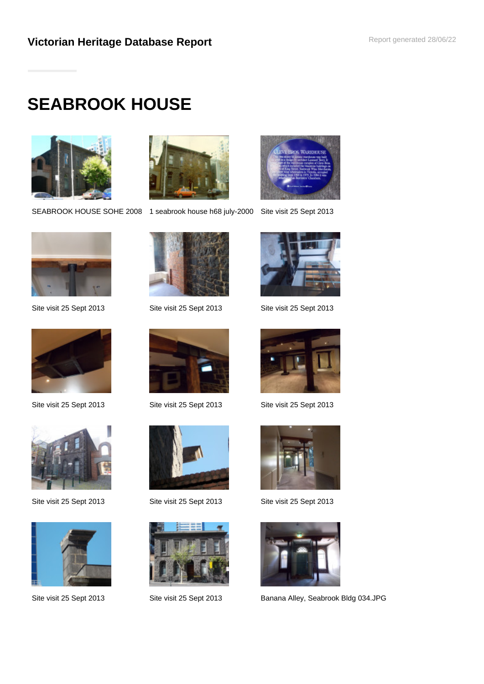# **SEABROOK HOUSE**



SEABROOK HOUSE SOHE 2008 1 seabrook house h68 july-2000 Site visit 25 Sept 2013











Site visit 25 Sept 2013 Site visit 25 Sept 2013 Site visit 25 Sept 2013











Site visit 25 Sept 2013 Site visit 25 Sept 2013 Site visit 25 Sept 2013



Site visit 25 Sept 2013 Site visit 25 Sept 2013 Site visit 25 Sept 2013





Site visit 25 Sept 2013 Site visit 25 Sept 2013 Banana Alley, Seabrook Bldg 034.JPG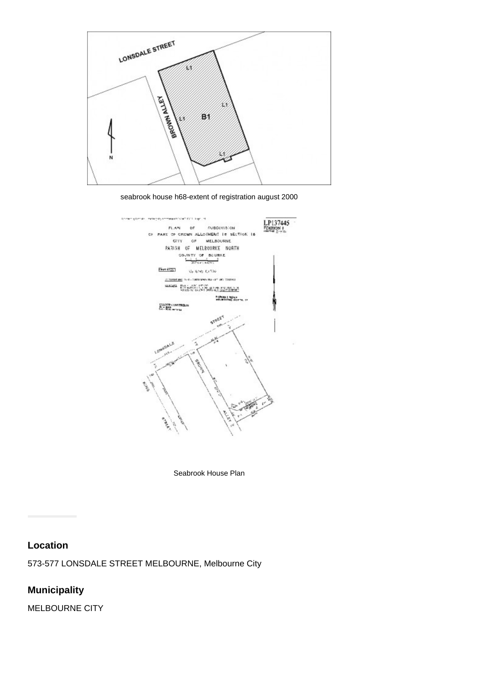

seabrook house h68-extent of registration august 2000



Seabrook House Plan

#### **Location**

573-577 LONSDALE STREET MELBOURNE, Melbourne City

# **Municipality**

MELBOURNE CITY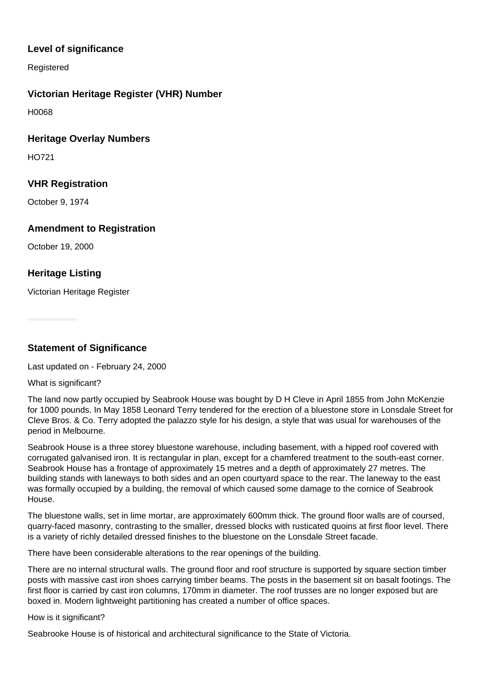## **Level of significance**

Registered

### **Victorian Heritage Register (VHR) Number**

H0068

#### **Heritage Overlay Numbers**

HO721

### **VHR Registration**

October 9, 1974

#### **Amendment to Registration**

October 19, 2000

## **Heritage Listing**

Victorian Heritage Register

**Statement of Significance**

Last updated on - February 24, 2000

What is significant?

The land now partly occupied by Seabrook House was bought by D H Cleve in April 1855 from John McKenzie for 1000 pounds. In May 1858 Leonard Terry tendered for the erection of a bluestone store in Lonsdale Street for Cleve Bros. & Co. Terry adopted the palazzo style for his design, a style that was usual for warehouses of the period in Melbourne.

Seabrook House is a three storey bluestone warehouse, including basement, with a hipped roof covered with corrugated galvanised iron. It is rectangular in plan, except for a chamfered treatment to the south-east corner. Seabrook House has a frontage of approximately 15 metres and a depth of approximately 27 metres. The building stands with laneways to both sides and an open courtyard space to the rear. The laneway to the east was formally occupied by a building, the removal of which caused some damage to the cornice of Seabrook House.

The bluestone walls, set in lime mortar, are approximately 600mm thick. The ground floor walls are of coursed, quarry-faced masonry, contrasting to the smaller, dressed blocks with rusticated quoins at first floor level. There is a variety of richly detailed dressed finishes to the bluestone on the Lonsdale Street facade.

There have been considerable alterations to the rear openings of the building.

There are no internal structural walls. The ground floor and roof structure is supported by square section timber posts with massive cast iron shoes carrying timber beams. The posts in the basement sit on basalt footings. The first floor is carried by cast iron columns, 170mm in diameter. The roof trusses are no longer exposed but are boxed in. Modern lightweight partitioning has created a number of office spaces.

How is it significant?

Seabrooke House is of historical and architectural significance to the State of Victoria.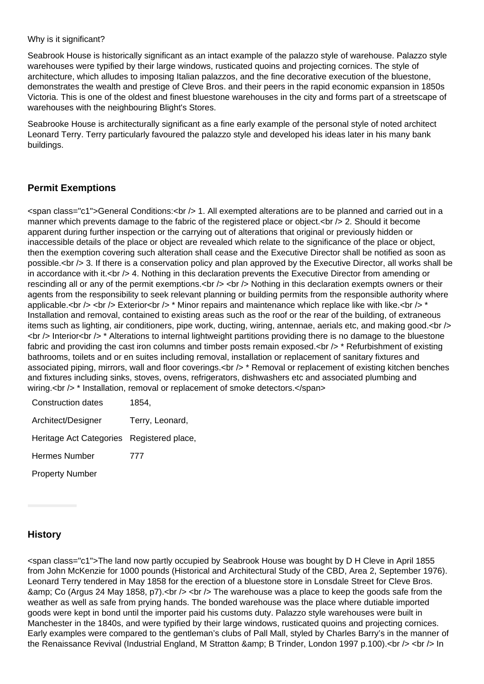#### Why is it significant?

Seabrook House is historically significant as an intact example of the palazzo style of warehouse. Palazzo style warehouses were typified by their large windows, rusticated quoins and projecting cornices. The style of architecture, which alludes to imposing Italian palazzos, and the fine decorative execution of the bluestone, demonstrates the wealth and prestige of Cleve Bros. and their peers in the rapid economic expansion in 1850s Victoria. This is one of the oldest and finest bluestone warehouses in the city and forms part of a streetscape of warehouses with the neighbouring Blight's Stores.

Seabrooke House is architecturally significant as a fine early example of the personal style of noted architect Leonard Terry. Terry particularly favoured the palazzo style and developed his ideas later in his many bank buildings.

#### **Permit Exemptions**

<span class="c1">General Conditions:<br /> 1. All exempted alterations are to be planned and carried out in a manner which prevents damage to the fabric of the registered place or object. < br /> 2. Should it become apparent during further inspection or the carrying out of alterations that original or previously hidden or inaccessible details of the place or object are revealed which relate to the significance of the place or object, then the exemption covering such alteration shall cease and the Executive Director shall be notified as soon as possible.<br /> 3. If there is a conservation policy and plan approved by the Executive Director, all works shall be in accordance with it.  $\langle$ br  $/$  4. Nothing in this declaration prevents the Executive Director from amending or rescinding all or any of the permit exemptions.<br />> <br />> Nothing in this declaration exempts owners or their agents from the responsibility to seek relevant planning or building permits from the responsible authority where applicable.<br /> <br />> Exterior<br />  $\prime$  \* Minor repairs and maintenance which replace like with like.<br />  $\prime$  \* Installation and removal, contained to existing areas such as the roof or the rear of the building, of extraneous items such as lighting, air conditioners, pipe work, ducting, wiring, antennae, aerials etc, and making good.<br />  $\langle$ br  $/$ > Interior $\langle$ br  $/$ >  $*$  Alterations to internal lightweight partitions providing there is no damage to the bluestone fabric and providing the cast iron columns and timber posts remain exposed.<br />
thetar existing factorial of existing bathrooms, toilets and or en suites including removal, installation or replacement of sanitary fixtures and associated piping, mirrors, wall and floor coverings.<br />  $\ge$  \* Removal or replacement of existing kitchen benches and fixtures including sinks, stoves, ovens, refrigerators, dishwashers etc and associated plumbing and wiring.<br /> \* Installation, removal or replacement of smoke detectors.</span>

| <b>Construction dates</b>                 | 1854,           |
|-------------------------------------------|-----------------|
| Architect/Designer                        | Terry, Leonard, |
| Heritage Act Categories Registered place, |                 |
| <b>Hermes Number</b>                      | 777             |
| <b>Property Number</b>                    |                 |

### **History**

<span class="c1">The land now partly occupied by Seabrook House was bought by D H Cleve in April 1855 from John McKenzie for 1000 pounds (Historical and Architectural Study of the CBD, Area 2, September 1976). Leonard Terry tendered in May 1858 for the erection of a bluestone store in Lonsdale Street for Cleve Bros. & amp; Co (Argus 24 May 1858, p7).  $\langle$  br  $/$   $>$   $\langle$  The warehouse was a place to keep the goods safe from the weather as well as safe from prying hands. The bonded warehouse was the place where dutiable imported goods were kept in bond until the importer paid his customs duty. Palazzo style warehouses were built in Manchester in the 1840s, and were typified by their large windows, rusticated quoins and projecting cornices. Early examples were compared to the gentleman's clubs of Pall Mall, styled by Charles Barry's in the manner of the Renaissance Revival (Industrial England, M Stratton & amp; B Trinder, London 1997 p.100).<br />> <br />
In